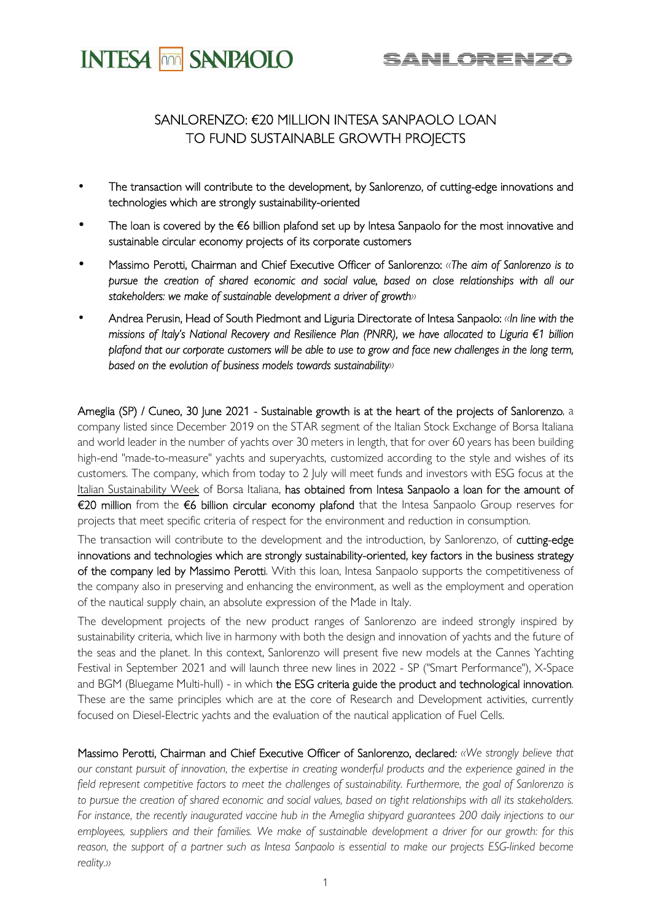

# SANLORENZO: €20 MILLION INTESA SANPAOLO LOAN TO FUND SUSTAINABLE GROWTH PROJECTS

- The transaction will contribute to the development, by Sanlorenzo, of cutting-edge innovations and technologies which are strongly sustainability-oriented
- The loan is covered by the  $€6$  billion plafond set up by Intesa Sanpaolo for the most innovative and sustainable circular economy projects of its corporate customers
- Massimo Perotti, Chairman and Chief Executive Officer of Sanlorenzo: *«The aim of Sanlorenzo is to pursue the creation of shared economic and social value, based on close relationships with all our stakeholders: we make of sustainable development a driver of growth»*
- Andrea Perusin, Head of South Piedmont and Liguria Directorate of Intesa Sanpaolo: *«In line with the missions of Italy's National Recovery and Resilience Plan (PNRR), we have allocated to Liguria €1 billion plafond that our corporate customers will be able to use to grow and face new challenges in the long term, based on the evolution of business models towards sustainability»*

Ameglia (SP) / Cuneo, 30 June 2021 - Sustainable growth is at the heart of the projects of Sanlorenzo, a company listed since December 2019 on the STAR segment of the Italian Stock Exchange of Borsa Italiana and world leader in the number of yachts over 30 meters in length, that for over 60 years has been building high-end "made-to-measure" yachts and superyachts, customized according to the style and wishes of its customers. The company, which from today to 2 July will meet funds and investors with ESG focus at the Italian Sustainability Week of Borsa Italiana, has obtained from Intesa Sanpaolo a loan for the amount of €20 million from the €6 billion circular economy plafond that the Intesa Sanpaolo Group reserves for projects that meet specific criteria of respect for the environment and reduction in consumption.

The transaction will contribute to the development and the introduction, by Sanlorenzo, of cutting-edge innovations and technologies which are strongly sustainability-oriented, key factors in the business strategy of the company led by Massimo Perotti. With this loan, Intesa Sanpaolo supports the competitiveness of the company also in preserving and enhancing the environment, as well as the employment and operation of the nautical supply chain, an absolute expression of the Made in Italy.

The development projects of the new product ranges of Sanlorenzo are indeed strongly inspired by sustainability criteria, which live in harmony with both the design and innovation of yachts and the future of the seas and the planet. In this context, Sanlorenzo will present five new models at the Cannes Yachting Festival in September 2021 and will launch three new lines in 2022 - SP ("Smart Performance"), X-Space and BGM (Bluegame Multi-hull) - in which the ESG criteria guide the product and technological innovation. These are the same principles which are at the core of Research and Development activities, currently focused on Diesel-Electric yachts and the evaluation of the nautical application of Fuel Cells.

Massimo Perotti, Chairman and Chief Executive Officer of Sanlorenzo, declared*: «We strongly believe that our constant pursuit of innovation, the expertise in creating wonderful products and the experience gained in the*  field represent competitive factors to meet the challenges of sustainability. Furthermore, the goal of Sanlorenzo is to pursue the creation of shared economic and social values, based on tight relationships with all its stakeholders. *For instance, the recently inaugurated vaccine hub in the Ameglia shipyard guarantees 200 daily injections to our employees, suppliers and their families. We make of sustainable development a driver for our growth: for this*  reason, the support of a partner such as Intesa Sanpaolo is essential to make our projects ESG-linked become *reality.»*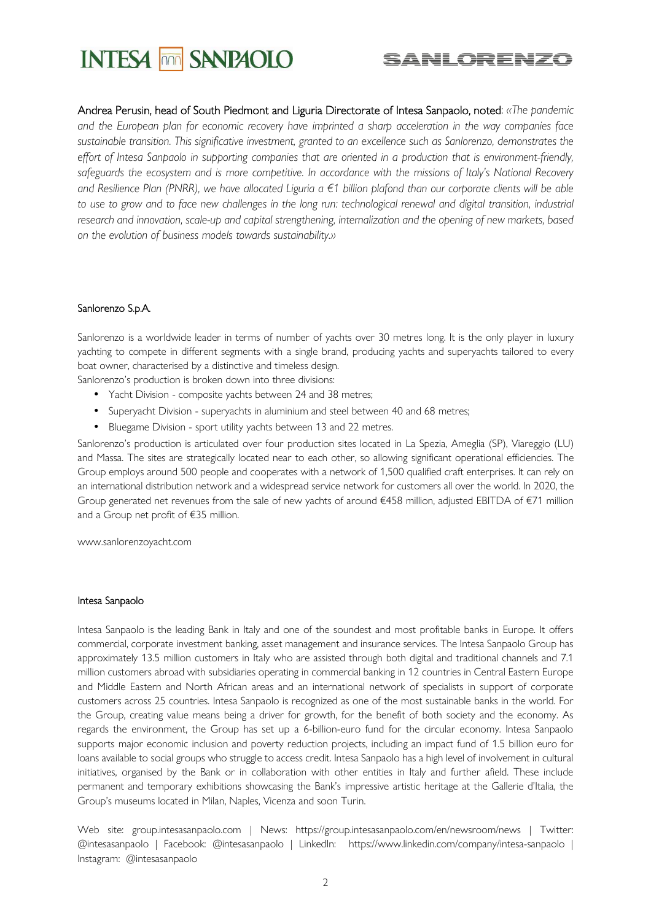



Andrea Perusin, head of South Piedmont and Liguria Directorate of Intesa Sanpaolo, noted: *«The pandemic and the European plan for economic recovery have imprinted a sharp acceleration in the way companies face sustainable transition. This significative investment, granted to an excellence such as Sanlorenzo, demonstrates the effort of Intesa Sanpaolo in supporting companies that are oriented in a production that is environment-friendly, safeguards the ecosystem and is more competitive. In accordance with the missions of Italy's National Recovery and Resilience Plan (PNRR), we have allocated Liguria a €1 billion plafond than our corporate clients will be able*  to use to grow and to face new challenges in the long run: technological renewal and digital transition, industrial *research and innovation, scale-up and capital strengthening, internalization and the opening of new markets, based on the evolution of business models towards sustainability.»*

## Sanlorenzo S.p.A.

Sanlorenzo is a worldwide leader in terms of number of yachts over 30 metres long. It is the only player in luxury yachting to compete in different segments with a single brand, producing yachts and superyachts tailored to every boat owner, characterised by a distinctive and timeless design.

Sanlorenzo's production is broken down into three divisions:

- Yacht Division composite yachts between 24 and 38 metres;
- Superyacht Division superyachts in aluminium and steel between 40 and 68 metres;
- Bluegame Division sport utility yachts between 13 and 22 metres.

Sanlorenzo's production is articulated over four production sites located in La Spezia, Ameglia (SP), Viareggio (LU) and Massa. The sites are strategically located near to each other, so allowing significant operational efficiencies. The Group employs around 500 people and cooperates with a network of 1,500 qualified craft enterprises. It can rely on an international distribution network and a widespread service network for customers all over the world. In 2020, the Group generated net revenues from the sale of new yachts of around €458 million, adjusted EBITDA of €71 million and a Group net profit of €35 million.

www.sanlorenzoyacht.com

#### Intesa Sanpaolo

Intesa Sanpaolo is the leading Bank in Italy and one of the soundest and most profitable banks in Europe. It offers commercial, corporate investment banking, asset management and insurance services. The Intesa Sanpaolo Group has approximately 13.5 million customers in Italy who are assisted through both digital and traditional channels and 7.1 million customers abroad with subsidiaries operating in commercial banking in 12 countries in Central Eastern Europe and Middle Eastern and North African areas and an international network of specialists in support of corporate customers across 25 countries. Intesa Sanpaolo is recognized as one of the most sustainable banks in the world. For the Group, creating value means being a driver for growth, for the benefit of both society and the economy. As regards the environment, the Group has set up a 6-billion-euro fund for the circular economy. Intesa Sanpaolo supports major economic inclusion and poverty reduction projects, including an impact fund of 1.5 billion euro for loans available to social groups who struggle to access credit. Intesa Sanpaolo has a high level of involvement in cultural initiatives, organised by the Bank or in collaboration with other entities in Italy and further afield. These include permanent and temporary exhibitions showcasing the Bank's impressive artistic heritage at the Gallerie d'Italia, the Group's museums located in Milan, Naples, Vicenza and soon Turin.

Web site: group.intesasanpaolo.com | News: https://group.intesasanpaolo.com/en/newsroom/news | Twitter: @intesasanpaolo | Facebook: @intesasanpaolo | LinkedIn: https://www.linkedin.com/company/intesa-sanpaolo | Instagram: @intesasanpaolo